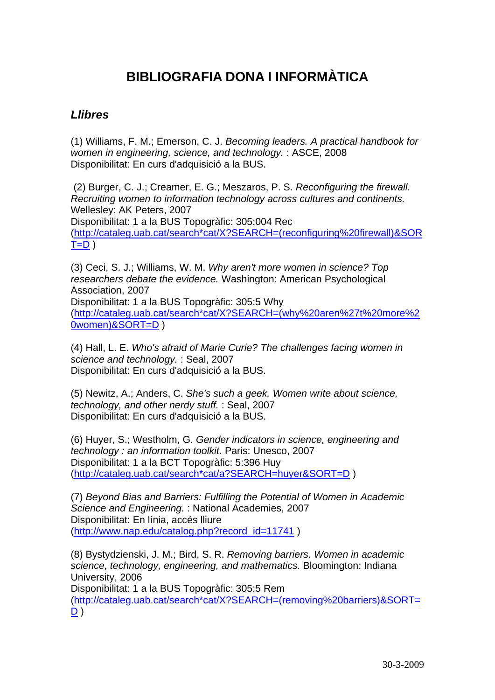# **BIBLIOGRAFIA DONA I INFORMÀTICA**

### *Llibres*

(1) Williams, F. M.; Emerson, C. J. *Becoming leaders. A practical handbook for women in engineering, science, and technology.* : ASCE, 2008 Disponibilitat: En curs d'adquisició a la BUS.

 (2) Burger, C. J.; Creamer, E. G.; Meszaros, P. S. *Reconfiguring the firewall. Recruiting women to information technology across cultures and continents.*  Wellesley: AK Peters, 2007 Disponibilitat: 1 a la BUS Topogràfic: 305:004 Rec [\(http://cataleg.uab.cat/search\\*cat/X?SEARCH=\(reconfiguring%20firewall\)&SOR](http://cataleg.uab.cat/search*cat/X?SEARCH=(reconfiguring%20firewall)&SORT=D)  $T=D$ )

(3) Ceci, S. J.; Williams, W. M. *Why aren't more women in science? Top researchers debate the evidence.* Washington: American Psychological Association, 2007 Disponibilitat: 1 a la BUS Topogràfic: 305:5 Why [\(http://cataleg.uab.cat/search\\*cat/X?SEARCH=\(why%20aren%27t%20more%2](http://cataleg.uab.cat/search*cat/X?SEARCH=(why%20aren%27t%20more%20women)&SORT=D)

[0women\)&SORT=D](http://cataleg.uab.cat/search*cat/X?SEARCH=(why%20aren%27t%20more%20women)&SORT=D) )

(4) Hall, L. E. *Who's afraid of Marie Curie? The challenges facing women in science and technology.* : Seal, 2007 Disponibilitat: En curs d'adquisició a la BUS.

(5) Newitz, A.; Anders, C. *She's such a geek. Women write about science, technology, and other nerdy stuff.* : Seal, 2007 Disponibilitat: En curs d'adquisició a la BUS.

(6) Huyer, S.; Westholm, G. *Gender indicators in science, engineering and technology : an information toolkit.* Paris: Unesco, 2007 Disponibilitat: 1 a la BCT Topogràfic: 5:396 Huy [\(http://cataleg.uab.cat/search\\*cat/a?SEARCH=huyer&SORT=D](http://cataleg.uab.cat/search*cat/a?SEARCH=huyer&SORT=D) )

(7) *Beyond Bias and Barriers: Fulfilling the Potential of Women in Academic Science and Engineering.* : National Academies, 2007 Disponibilitat: En línia, accés lliure [\(http://www.nap.edu/catalog.php?record\\_id=11741](http://www.nap.edu/catalog.php?record_id=11741) )

(8) Bystydzienski, J. M.; Bird, S. R. *Removing barriers. Women in academic science, technology, engineering, and mathematics.* Bloomington: Indiana University, 2006 Disponibilitat: 1 a la BUS Topogràfic: 305:5 Rem [\(http://cataleg.uab.cat/search\\*cat/X?SEARCH=\(removing%20barriers\)&SORT=](http://cataleg.uab.cat/search*cat/X?SEARCH=(removing%20barriers)&SORT=D)  $D$ )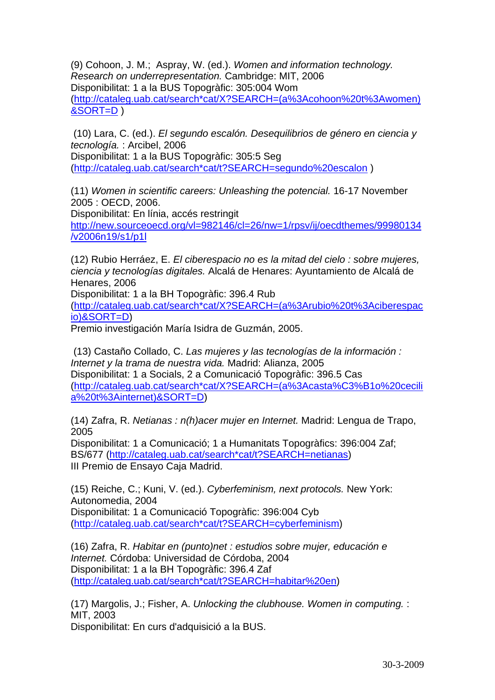(9) Cohoon, J. M.; Aspray, W. (ed.). *Women and information technology. Research on underrepresentation.* Cambridge: MIT, 2006 Disponibilitat: 1 a la BUS Topogràfic: 305:004 Wom [\(http://cataleg.uab.cat/search\\*cat/X?SEARCH=\(a%3Acohoon%20t%3Awomen\)](http://cataleg.uab.cat/search*cat/X?SEARCH=(a%3Acohoon%20t%3Awomen)&SORT=D) [&SORT=D](http://cataleg.uab.cat/search*cat/X?SEARCH=(a%3Acohoon%20t%3Awomen)&SORT=D) )

 (10) Lara, C. (ed.). *El segundo escalón. Desequilibrios de género en ciencia y tecnología.* : Arcibel, 2006

Disponibilitat: 1 a la BUS Topogràfic: 305:5 Seg [\(http://cataleg.uab.cat/search\\*cat/t?SEARCH=segundo%20escalon](http://cataleg.uab.cat/search*cat/t?SEARCH=segundo%20escalon) )

(11) *Women in scientific careers: Unleashing the potencial.* 16-17 November 2005 : OECD, 2006.

Disponibilitat: En línia, accés restringit

[http://new.sourceoecd.org/vl=982146/cl=26/nw=1/rpsv/ij/oecdthemes/99980134](http://new.sourceoecd.org/vl=982146/cl=26/nw=1/rpsv/ij/oecdthemes/99980134/v2006n19/s1/p1l) [/v2006n19/s1/p1l](http://new.sourceoecd.org/vl=982146/cl=26/nw=1/rpsv/ij/oecdthemes/99980134/v2006n19/s1/p1l)

(12) Rubio Herráez, E. *El ciberespacio no es la mitad del cielo : sobre mujeres, ciencia y tecnologías digitales.* Alcalá de Henares: Ayuntamiento de Alcalá de Henares, 2006

Disponibilitat: 1 a la BH Topogràfic: 396.4 Rub

[\(http://cataleg.uab.cat/search\\*cat/X?SEARCH=\(a%3Arubio%20t%3Aciberespac](http://cataleg.uab.cat/search*cat/X?SEARCH=(a%3Arubio%20t%3Aciberespacio)&SORT=D) [io\)&SORT=D](http://cataleg.uab.cat/search*cat/X?SEARCH=(a%3Arubio%20t%3Aciberespacio)&SORT=D))

Premio investigación María Isidra de Guzmán, 2005.

 (13) Castaño Collado, C. *Las mujeres y las tecnologías de la información : Internet y la trama de nuestra vida.* Madrid: Alianza, 2005 Disponibilitat: 1 a Socials, 2 a Comunicació Topogràfic: 396.5 Cas [\(http://cataleg.uab.cat/search\\*cat/X?SEARCH=\(a%3Acasta%C3%B1o%20cecili](http://cataleg.uab.cat/search*cat/X?SEARCH=(a%3Acasta%C3%B1o%20cecilia%20t%3Ainternet)&SORT=D) [a%20t%3Ainternet\)&SORT=D](http://cataleg.uab.cat/search*cat/X?SEARCH=(a%3Acasta%C3%B1o%20cecilia%20t%3Ainternet)&SORT=D))

(14) Zafra, R. *Netianas : n(h)acer mujer en Internet.* Madrid: Lengua de Trapo, 2005

Disponibilitat: 1 a Comunicació; 1 a Humanitats Topogràfics: 396:004 Zaf; BS/677 ([http://cataleg.uab.cat/search\\*cat/t?SEARCH=netianas\)](http://cataleg.uab.cat/search*cat/t?SEARCH=netianas) III Premio de Ensayo Caja Madrid.

(15) Reiche, C.; Kuni, V. (ed.). *Cyberfeminism, next protocols.* New York: Autonomedia, 2004 Disponibilitat: 1 a Comunicació Topogràfic: 396:004 Cyb [\(http://cataleg.uab.cat/search\\*cat/t?SEARCH=cyberfeminism](http://cataleg.uab.cat/search*cat/t?SEARCH=cyberfeminism))

(16) Zafra, R. *Habitar en (punto)net : estudios sobre mujer, educación e Internet.* Córdoba: Universidad de Córdoba, 2004 Disponibilitat: 1 a la BH Topogràfic: 396.4 Zaf [\(http://cataleg.uab.cat/search\\*cat/t?SEARCH=habitar%20en\)](http://cataleg.uab.cat/search*cat/t?SEARCH=habitar%20en)

(17) Margolis, J.; Fisher, A. *Unlocking the clubhouse. Women in computing.* : MIT, 2003

Disponibilitat: En curs d'adquisició a la BUS.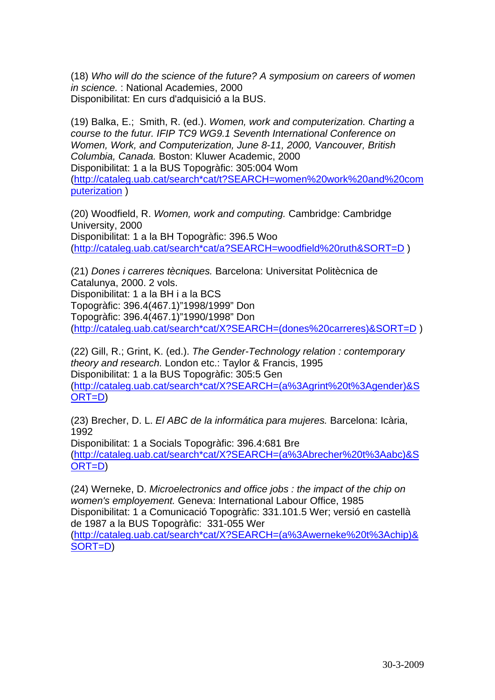(18) *Who will do the science of the future? A symposium on careers of women in science.* : National Academies, 2000 Disponibilitat: En curs d'adquisició a la BUS.

(19) Balka, E.; Smith, R. (ed.). *Women, work and computerization. Charting a course to the futur. IFIP TC9 WG9.1 Seventh International Conference on Women, Work, and Computerization, June 8-11, 2000, Vancouver, British Columbia, Canada.* Boston: Kluwer Academic, 2000 Disponibilitat: 1 a la BUS Topogràfic: 305:004 Wom [\(http://cataleg.uab.cat/search\\*cat/t?SEARCH=women%20work%20and%20com](http://cataleg.uab.cat/search*cat/t?SEARCH=women%20work%20and%20computerization) [puterization](http://cataleg.uab.cat/search*cat/t?SEARCH=women%20work%20and%20computerization) )

(20) Woodfield, R. *Women, work and computing.* Cambridge: Cambridge University, 2000 Disponibilitat: 1 a la BH Topogràfic: 396.5 Woo [\(http://cataleg.uab.cat/search\\*cat/a?SEARCH=woodfield%20ruth&SORT=D](http://cataleg.uab.cat/search*cat/a?SEARCH=woodfield%20ruth&SORT=D) )

(21) *Dones i carreres tècniques.* Barcelona: Universitat Politècnica de Catalunya, 2000. 2 vols. Disponibilitat: 1 a la BH i a la BCS Topogràfic: 396.4(467.1)"1998/1999" Don Topogràfic: 396.4(467.1)"1990/1998" Don [\(http://cataleg.uab.cat/search\\*cat/X?SEARCH=\(dones%20carreres\)&SORT=D](http://cataleg.uab.cat/search*cat/X?SEARCH=(dones%20carreres)&SORT=D) )

(22) Gill, R.; Grint, K. (ed.). *The Gender-Technology relation : contemporary theory and research.* London etc.: Taylor & Francis, 1995 Disponibilitat: 1 a la BUS Topogràfic: 305:5 Gen [\(http://cataleg.uab.cat/search\\*cat/X?SEARCH=\(a%3Agrint%20t%3Agender\)&S](http://cataleg.uab.cat/search*cat/X?SEARCH=(a%3Agrint%20t%3Agender)&SORT=D) [ORT=D](http://cataleg.uab.cat/search*cat/X?SEARCH=(a%3Agrint%20t%3Agender)&SORT=D))

(23) Brecher, D. L. *El ABC de la informática para mujeres.* Barcelona: Icària, 1992

Disponibilitat: 1 a Socials Topogràfic: 396.4:681 Bre [\(http://cataleg.uab.cat/search\\*cat/X?SEARCH=\(a%3Abrecher%20t%3Aabc\)&S](http://cataleg.uab.cat/search*cat/X?SEARCH=(a%3Abrecher%20t%3Aabc)&SORT=D) [ORT=D](http://cataleg.uab.cat/search*cat/X?SEARCH=(a%3Abrecher%20t%3Aabc)&SORT=D))

(24) Werneke, D. *Microelectronics and office jobs : the impact of the chip on women's employement.* Geneva: International Labour Office, 1985 Disponibilitat: 1 a Comunicació Topogràfic: 331.101.5 Wer; versió en castellà de 1987 a la BUS Topogràfic: 331-055 Wer [\(http://cataleg.uab.cat/search\\*cat/X?SEARCH=\(a%3Awerneke%20t%3Achip\)&](http://cataleg.uab.cat/search*cat/X?SEARCH=(a%3Awerneke%20t%3Achip)&SORT=D) [SORT=D](http://cataleg.uab.cat/search*cat/X?SEARCH=(a%3Awerneke%20t%3Achip)&SORT=D))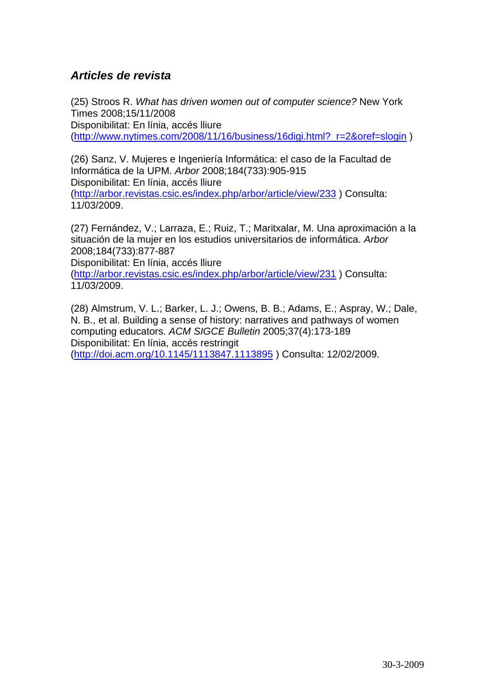#### *Articles de revista*

(25) Stroos R. *What has driven women out of computer science?* New York Times 2008;15/11/2008 Disponibilitat: En línia, accés lliure [\(http://www.nytimes.com/2008/11/16/business/16digi.html?\\_r=2&oref=slogin](http://www.nytimes.com/2008/11/16/business/16digi.html?_r=2&oref=slogin) )

(26) Sanz, V. Mujeres e Ingeniería Informática: el caso de la Facultad de Informática de la UPM. *Arbor* 2008;184(733):905-915 Disponibilitat: En línia, accés lliure [\(http://arbor.revistas.csic.es/index.php/arbor/article/view/233](http://arbor.revistas.csic.es/index.php/arbor/article/view/233) ) Consulta: 11/03/2009.

(27) Fernández, V.; Larraza, E.; Ruiz, T.; Maritxalar, M. Una aproximación a la situación de la mujer en los estudios universitarios de informática. *Arbor*  2008;184(733):877-887 Disponibilitat: En línia, accés lliure

[\(http://arbor.revistas.csic.es/index.php/arbor/article/view/231](http://arbor.revistas.csic.es/index.php/arbor/article/view/231) ) Consulta: 11/03/2009.

(28) Almstrum, V. L.; Barker, L. J.; Owens, B. B.; Adams, E.; Aspray, W.; Dale, N. B., et al. Building a sense of history: narratives and pathways of women computing educators. *ACM SIGCE Bulletin* 2005;37(4):173-189 Disponibilitat: En línia, accés restringit [\(http://doi.acm.org/10.1145/1113847.1113895](http://doi.acm.org/10.1145/1113847.1113895) ) Consulta: 12/02/2009.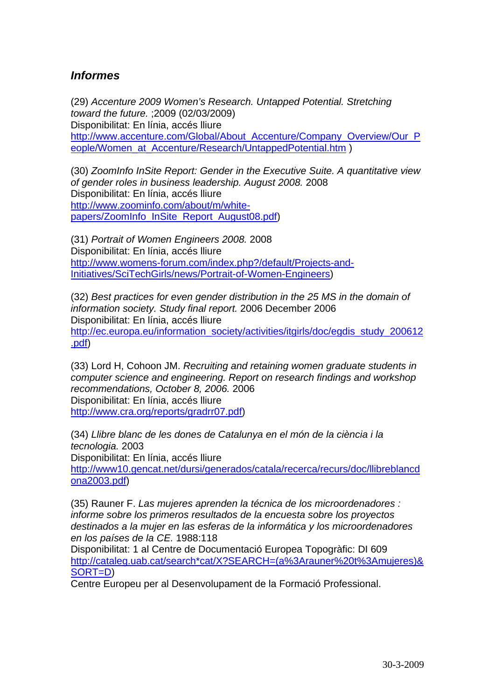#### *Informes*

(29) *Accenture 2009 Women's Research. Untapped Potential. Stretching toward the future.* ;2009 (02/03/2009) Disponibilitat: En línia, accés lliure [http://www.accenture.com/Global/About\\_Accenture/Company\\_Overview/Our\\_P](http://www.accenture.com/Global/About_Accenture/Company_Overview/Our_People/Women_at_Accenture/Research/UntappedPotential.htm) [eople/Women\\_at\\_Accenture/Research/UntappedPotential.htm](http://www.accenture.com/Global/About_Accenture/Company_Overview/Our_People/Women_at_Accenture/Research/UntappedPotential.htm) )

(30) *ZoomInfo InSite Report: Gender in the Executive Suite. A quantitative view of gender roles in business leadership. August 2008.* 2008 Disponibilitat: En línia, accés lliure [http://www.zoominfo.com/about/m/white](http://www.zoominfo.com/about/m/white-papers/ZoomInfo_InSite_Report_August08.pdf)[papers/ZoomInfo\\_InSite\\_Report\\_August08.pdf](http://www.zoominfo.com/about/m/white-papers/ZoomInfo_InSite_Report_August08.pdf))

(31) *Portrait of Women Engineers 2008.* 2008 Disponibilitat: En línia, accés lliure [http://www.womens-forum.com/index.php?/default/Projects-and-](http://www.womens-forum.com/index.php?/default/Projects-and-Initiatives/SciTechGirls/news/Portrait-of-Women-Engineers)[Initiatives/SciTechGirls/news/Portrait-of-Women-Engineers](http://www.womens-forum.com/index.php?/default/Projects-and-Initiatives/SciTechGirls/news/Portrait-of-Women-Engineers))

(32) *Best practices for even gender distribution in the 25 MS in the domain of information society. Study final report.* 2006 December 2006 Disponibilitat: En línia, accés lliure [http://ec.europa.eu/information\\_society/activities/itgirls/doc/egdis\\_study\\_200612](http://ec.europa.eu/information_society/activities/itgirls/doc/egdis_study_200612.pdf) [.pdf](http://ec.europa.eu/information_society/activities/itgirls/doc/egdis_study_200612.pdf))

(33) Lord H, Cohoon JM. *Recruiting and retaining women graduate students in computer science and engineering. Report on research findings and workshop recommendations, October 8, 2006.* 2006 Disponibilitat: En línia, accés lliure <http://www.cra.org/reports/gradrr07.pdf>)

(34) *Llibre blanc de les dones de Catalunya en el món de la ciència i la tecnologia.* 2003 Disponibilitat: En línia, accés lliure [http://www10.gencat.net/dursi/generados/catala/recerca/recurs/doc/llibreblancd](http://www10.gencat.net/dursi/generados/catala/recerca/recurs/doc/llibreblancdona2003.pdf) [ona2003.pdf\)](http://www10.gencat.net/dursi/generados/catala/recerca/recurs/doc/llibreblancdona2003.pdf)

(35) Rauner F. *Las mujeres aprenden la técnica de los microordenadores : informe sobre los primeros resultados de la encuesta sobre los proyectos destinados a la mujer en las esferas de la informática y los microordenadores en los países de la CE.* 1988:118

Disponibilitat: 1 al Centre de Documentació Europea Topogràfic: DI 609 [http://cataleg.uab.cat/search\\*cat/X?SEARCH=\(a%3Arauner%20t%3Amujeres\)&](http://cataleg.uab.cat/search*cat/X?SEARCH=(a%3Arauner%20t%3Amujeres)&SORT=D) [SORT=D](http://cataleg.uab.cat/search*cat/X?SEARCH=(a%3Arauner%20t%3Amujeres)&SORT=D))

Centre Europeu per al Desenvolupament de la Formació Professional.